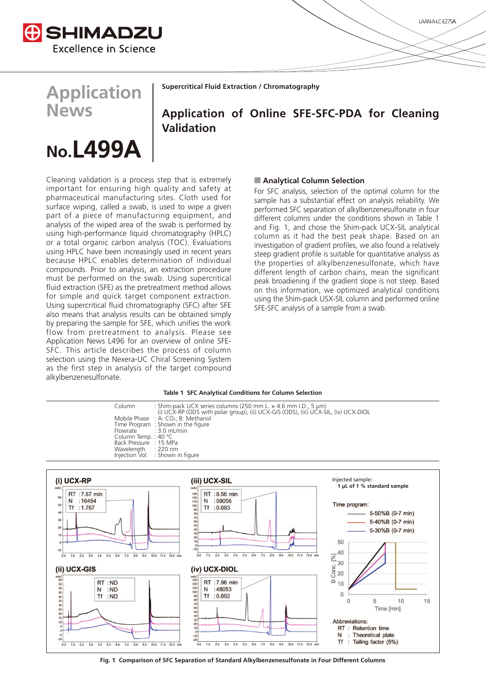

**Application**

**News**

**Supercritical Fluid Extraction / Chromatography**

## **Application of Online SFE-SFC-PDA for Cleaning Validation**

# **No.L499\$**

Cleaning validation is a process step that is extremely important for ensuring high quality and safety at pharmaceutical manufacturing sites. Cloth used for surface wiping, called a swab, is used to wipe a given part of a piece of manufacturing equipment, and analysis of the wiped area of the swab is performed by using high-performance liquid chromatography (HPLC) or a total organic carbon analysis (TOC). Evaluations using HPLC have been increasingly used in recent years because HPLC enables determination of individual compounds. Prior to analysis, an extraction procedure must be performed on the swab. Using supercritical fluid extraction (SFE) as the pretreatment method allows for simple and quick target component extraction. Using supercritical fluid chromatography (SFC) after SFE also means that analysis results can be obtained simply by preparing the sample for SFE, which unifies the work flow from pretreatment to analysis. Please see Application News L496 for an overview of online SFE-SFC. This article describes the process of column selection using the Nexera-UC Chiral Screening System as the first step in analysis of the target compound alkylbenzenesulfonate.

#### **Analytical Column Selection**

For SFC analysis, selection of the optimal column for the sample has a substantial effect on analysis reliability. We performed SFC separation of alkylbenzenesulfonate in four different columns under the conditions shown in Table 1 and Fig. 1, and chose the Shim-pack UCX-SIL analytical column as it had the best peak shape. Based on an investigation of gradient profiles, we also found a relatively steep gradient profile is suitable for quantitative analysis as the properties of alkylbenzenesulfonate, which have different length of carbon chains, mean the significant peak broadiening if the gradient slope is not steep. Based on this information, we optimized analytical conditions using the Shim-pack USX-SIL column and performed online SFE-SFC analysis of a sample from a swab.

#### **Table 1 SFC Analytical Conditions for Column Selection**

Column : Shim-pack UCX series columns (250 mm L. × 4.6 mm I.D., 5 μm) (i) UCX-RP (ODS with polar group), (ii) UCX-GIS (ODS), (iii) UCX-SIL, (iv) UCX-DIOL Mobile Phase  $\therefore$  A: CO<sub>2</sub>; B: Methanol<br>Time Program : Shown in the figure Time Program : Shown in the figure<br>Flowrate : 3.0 mL/min  $3.0$  mL/min<br>40 °C Column Temp. : 40 °C Back Pressure : 15 MPa<br>Wavelength : 220 nm Wavelength<br>Injection Vol ELC.....<br>Shown in figure



**Fig. 1 Comparison of SFC Separation of Standard Alkylbenzenesulfonate in Four Different Columns**